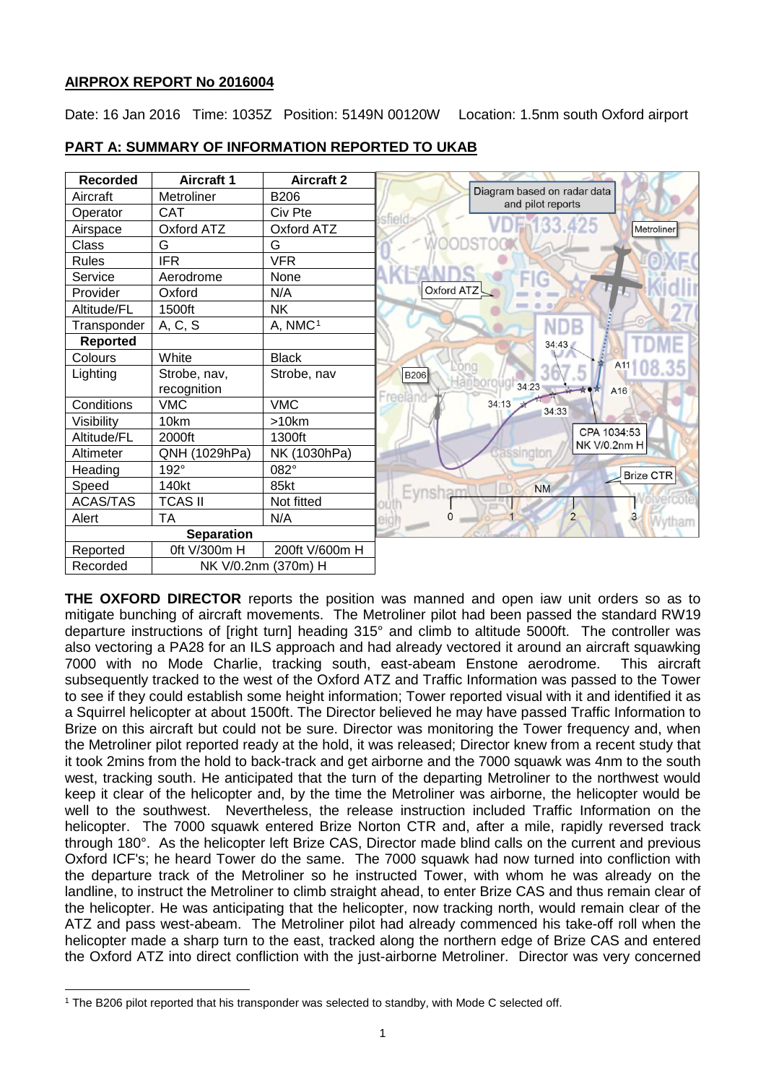# **AIRPROX REPORT No 2016004**

Date: 16 Jan 2016 Time: 1035Z Position: 5149N 00120W Location: 1.5nm south Oxford airport



# **PART A: SUMMARY OF INFORMATION REPORTED TO UKAB**

**THE OXFORD DIRECTOR** reports the position was manned and open iaw unit orders so as to mitigate bunching of aircraft movements. The Metroliner pilot had been passed the standard RW19 departure instructions of [right turn] heading 315° and climb to altitude 5000ft. The controller was also vectoring a PA28 for an ILS approach and had already vectored it around an aircraft squawking 7000 with no Mode Charlie, tracking south, east-abeam Enstone aerodrome. This aircraft subsequently tracked to the west of the Oxford ATZ and Traffic Information was passed to the Tower to see if they could establish some height information; Tower reported visual with it and identified it as a Squirrel helicopter at about 1500ft. The Director believed he may have passed Traffic Information to Brize on this aircraft but could not be sure. Director was monitoring the Tower frequency and, when the Metroliner pilot reported ready at the hold, it was released; Director knew from a recent study that it took 2mins from the hold to back-track and get airborne and the 7000 squawk was 4nm to the south west, tracking south. He anticipated that the turn of the departing Metroliner to the northwest would keep it clear of the helicopter and, by the time the Metroliner was airborne, the helicopter would be well to the southwest. Nevertheless, the release instruction included Traffic Information on the helicopter. The 7000 squawk entered Brize Norton CTR and, after a mile, rapidly reversed track through 180°. As the helicopter left Brize CAS, Director made blind calls on the current and previous Oxford ICF's; he heard Tower do the same. The 7000 squawk had now turned into confliction with the departure track of the Metroliner so he instructed Tower, with whom he was already on the landline, to instruct the Metroliner to climb straight ahead, to enter Brize CAS and thus remain clear of the helicopter. He was anticipating that the helicopter, now tracking north, would remain clear of the ATZ and pass west-abeam. The Metroliner pilot had already commenced his take-off roll when the helicopter made a sharp turn to the east, tracked along the northern edge of Brize CAS and entered the Oxford ATZ into direct confliction with the just-airborne Metroliner. Director was very concerned

 $\overline{\phantom{a}}$ 

<span id="page-0-0"></span><sup>1</sup> The B206 pilot reported that his transponder was selected to standby, with Mode C selected off.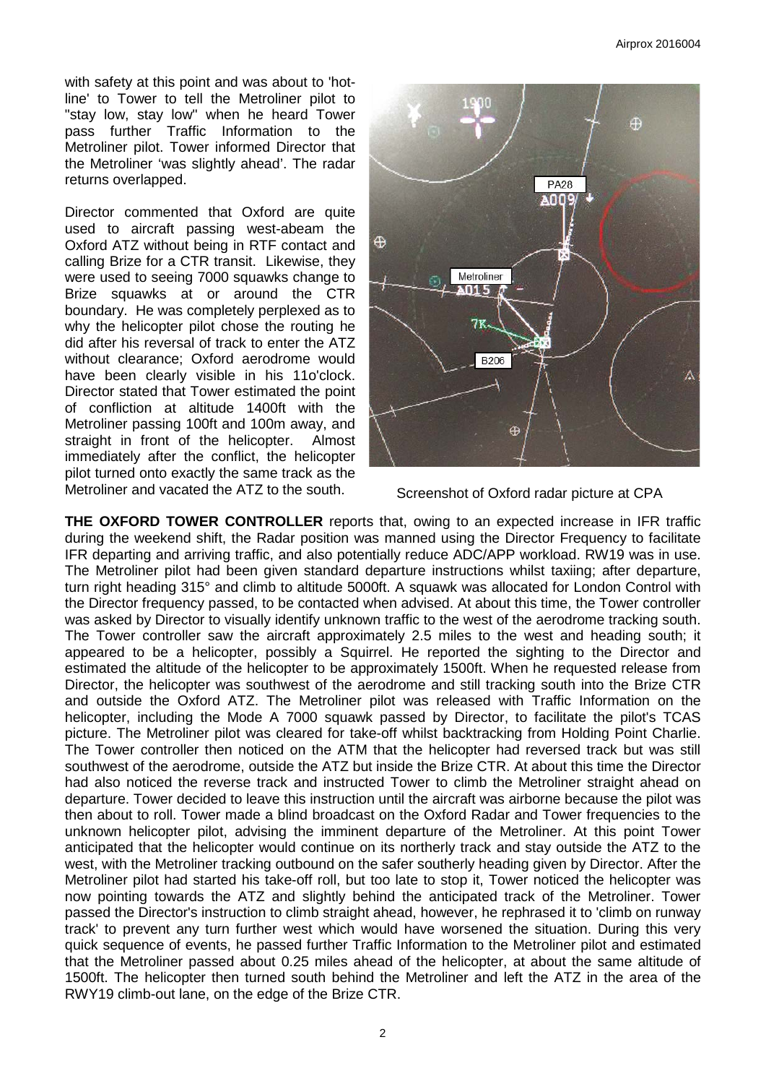with safety at this point and was about to 'hotline' to Tower to tell the Metroliner pilot to "stay low, stay low" when he heard Tower pass further Traffic Information to the Metroliner pilot. Tower informed Director that the Metroliner 'was slightly ahead'. The radar returns overlapped.

Director commented that Oxford are quite used to aircraft passing west-abeam the Oxford ATZ without being in RTF contact and calling Brize for a CTR transit. Likewise, they were used to seeing 7000 squawks change to Brize squawks at or around the CTR boundary. He was completely perplexed as to why the helicopter pilot chose the routing he did after his reversal of track to enter the ATZ without clearance; Oxford aerodrome would have been clearly visible in his 11o'clock. Director stated that Tower estimated the point of confliction at altitude 1400ft with the Metroliner passing 100ft and 100m away, and straight in front of the helicopter. Almost immediately after the conflict, the helicopter pilot turned onto exactly the same track as the Metroliner and vacated the ATZ to the south.



Screenshot of Oxford radar picture at CPA

**THE OXFORD TOWER CONTROLLER** reports that, owing to an expected increase in IFR traffic during the weekend shift, the Radar position was manned using the Director Frequency to facilitate IFR departing and arriving traffic, and also potentially reduce ADC/APP workload. RW19 was in use. The Metroliner pilot had been given standard departure instructions whilst taxiing; after departure, turn right heading 315° and climb to altitude 5000ft. A squawk was allocated for London Control with the Director frequency passed, to be contacted when advised. At about this time, the Tower controller was asked by Director to visually identify unknown traffic to the west of the aerodrome tracking south. The Tower controller saw the aircraft approximately 2.5 miles to the west and heading south; it appeared to be a helicopter, possibly a Squirrel. He reported the sighting to the Director and estimated the altitude of the helicopter to be approximately 1500ft. When he requested release from Director, the helicopter was southwest of the aerodrome and still tracking south into the Brize CTR and outside the Oxford ATZ. The Metroliner pilot was released with Traffic Information on the helicopter, including the Mode A 7000 squawk passed by Director, to facilitate the pilot's TCAS picture. The Metroliner pilot was cleared for take-off whilst backtracking from Holding Point Charlie. The Tower controller then noticed on the ATM that the helicopter had reversed track but was still southwest of the aerodrome, outside the ATZ but inside the Brize CTR. At about this time the Director had also noticed the reverse track and instructed Tower to climb the Metroliner straight ahead on departure. Tower decided to leave this instruction until the aircraft was airborne because the pilot was then about to roll. Tower made a blind broadcast on the Oxford Radar and Tower frequencies to the unknown helicopter pilot, advising the imminent departure of the Metroliner. At this point Tower anticipated that the helicopter would continue on its northerly track and stay outside the ATZ to the west, with the Metroliner tracking outbound on the safer southerly heading given by Director. After the Metroliner pilot had started his take-off roll, but too late to stop it, Tower noticed the helicopter was now pointing towards the ATZ and slightly behind the anticipated track of the Metroliner. Tower passed the Director's instruction to climb straight ahead, however, he rephrased it to 'climb on runway track' to prevent any turn further west which would have worsened the situation. During this very quick sequence of events, he passed further Traffic Information to the Metroliner pilot and estimated that the Metroliner passed about 0.25 miles ahead of the helicopter, at about the same altitude of 1500ft. The helicopter then turned south behind the Metroliner and left the ATZ in the area of the RWY19 climb-out lane, on the edge of the Brize CTR.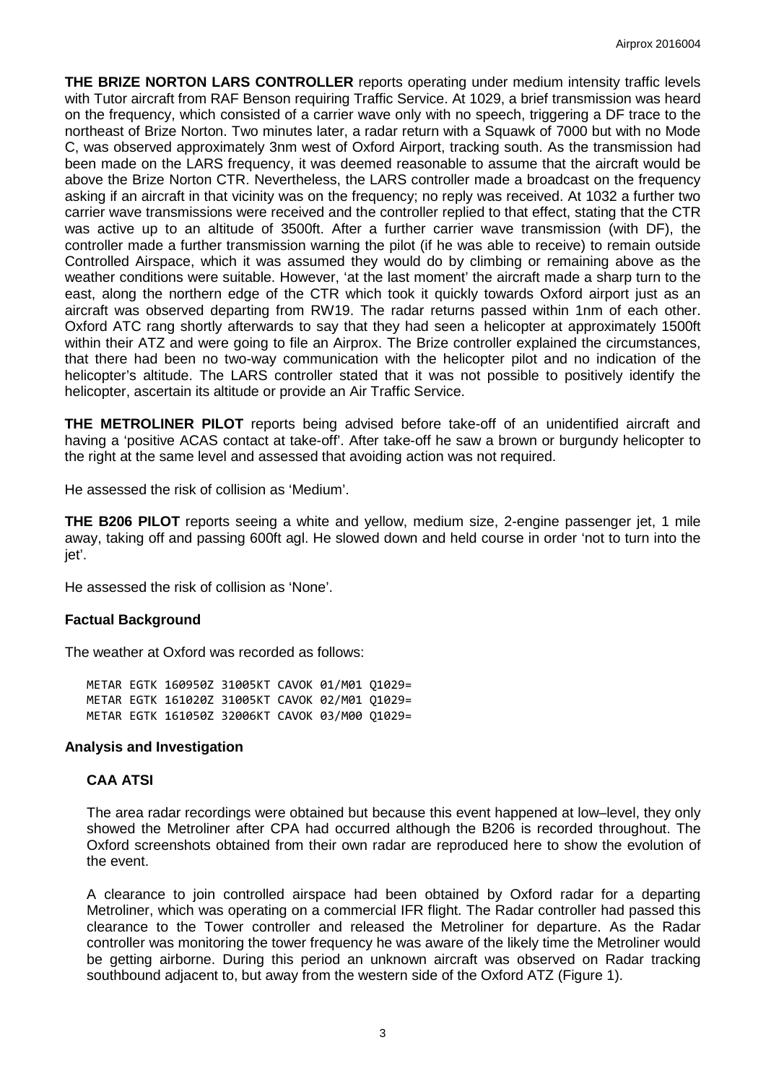**THE BRIZE NORTON LARS CONTROLLER** reports operating under medium intensity traffic levels with Tutor aircraft from RAF Benson requiring Traffic Service. At 1029, a brief transmission was heard on the frequency, which consisted of a carrier wave only with no speech, triggering a DF trace to the northeast of Brize Norton. Two minutes later, a radar return with a Squawk of 7000 but with no Mode C, was observed approximately 3nm west of Oxford Airport, tracking south. As the transmission had been made on the LARS frequency, it was deemed reasonable to assume that the aircraft would be above the Brize Norton CTR. Nevertheless, the LARS controller made a broadcast on the frequency asking if an aircraft in that vicinity was on the frequency; no reply was received. At 1032 a further two carrier wave transmissions were received and the controller replied to that effect, stating that the CTR was active up to an altitude of 3500ft. After a further carrier wave transmission (with DF), the controller made a further transmission warning the pilot (if he was able to receive) to remain outside Controlled Airspace, which it was assumed they would do by climbing or remaining above as the weather conditions were suitable. However, 'at the last moment' the aircraft made a sharp turn to the east, along the northern edge of the CTR which took it quickly towards Oxford airport just as an aircraft was observed departing from RW19. The radar returns passed within 1nm of each other. Oxford ATC rang shortly afterwards to say that they had seen a helicopter at approximately 1500ft within their ATZ and were going to file an Airprox. The Brize controller explained the circumstances, that there had been no two-way communication with the helicopter pilot and no indication of the helicopter's altitude. The LARS controller stated that it was not possible to positively identify the helicopter, ascertain its altitude or provide an Air Traffic Service.

**THE METROLINER PILOT** reports being advised before take-off of an unidentified aircraft and having a 'positive ACAS contact at take-off'. After take-off he saw a brown or burgundy helicopter to the right at the same level and assessed that avoiding action was not required.

He assessed the risk of collision as 'Medium'.

**THE B206 PILOT** reports seeing a white and yellow, medium size, 2-engine passenger jet, 1 mile away, taking off and passing 600ft agl. He slowed down and held course in order 'not to turn into the jet'.

He assessed the risk of collision as 'None'.

### **Factual Background**

The weather at Oxford was recorded as follows:

METAR EGTK 160950Z 31005KT CAVOK 01/M01 Q1029= METAR EGTK 161020Z 31005KT CAVOK 02/M01 Q1029= METAR EGTK 161050Z 32006KT CAVOK 03/M00 Q1029=

#### **Analysis and Investigation**

### **CAA ATSI**

The area radar recordings were obtained but because this event happened at low–level, they only showed the Metroliner after CPA had occurred although the B206 is recorded throughout. The Oxford screenshots obtained from their own radar are reproduced here to show the evolution of the event.

A clearance to join controlled airspace had been obtained by Oxford radar for a departing Metroliner, which was operating on a commercial IFR flight. The Radar controller had passed this clearance to the Tower controller and released the Metroliner for departure. As the Radar controller was monitoring the tower frequency he was aware of the likely time the Metroliner would be getting airborne. During this period an unknown aircraft was observed on Radar tracking southbound adjacent to, but away from the western side of the Oxford ATZ (Figure 1).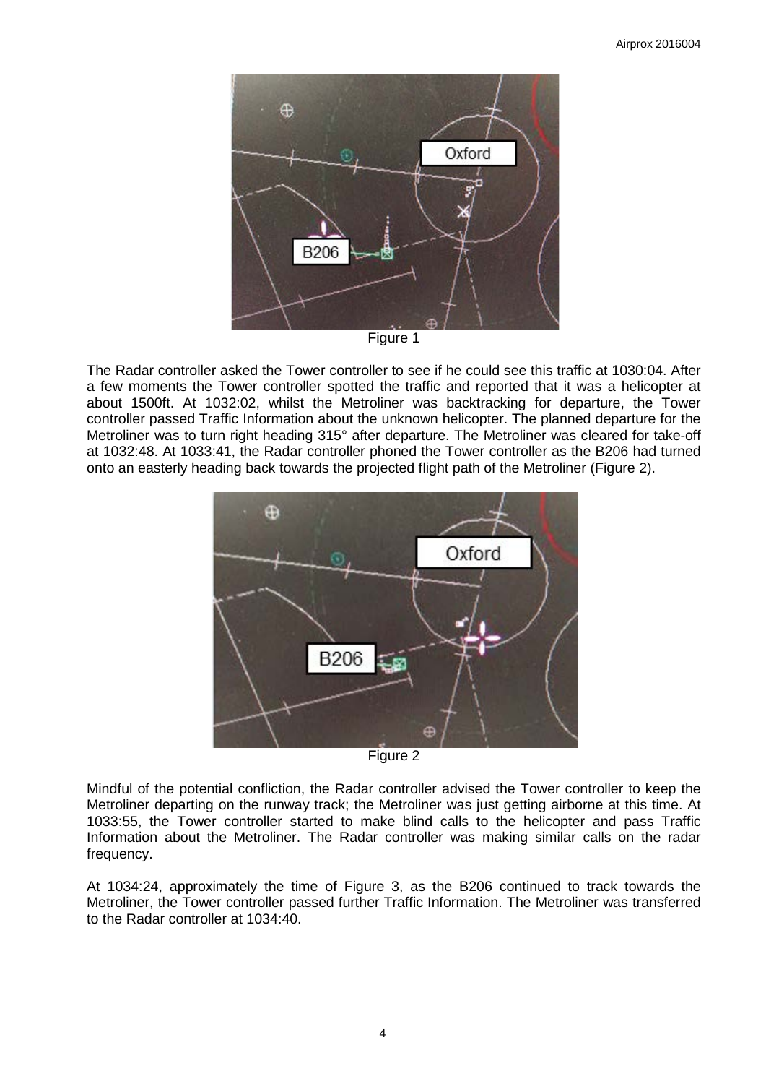

Figure 1

The Radar controller asked the Tower controller to see if he could see this traffic at 1030:04. After a few moments the Tower controller spotted the traffic and reported that it was a helicopter at about 1500ft. At 1032:02, whilst the Metroliner was backtracking for departure, the Tower controller passed Traffic Information about the unknown helicopter. The planned departure for the Metroliner was to turn right heading 315° after departure. The Metroliner was cleared for take-off at 1032:48. At 1033:41, the Radar controller phoned the Tower controller as the B206 had turned onto an easterly heading back towards the projected flight path of the Metroliner (Figure 2).



Figure 2

Mindful of the potential confliction, the Radar controller advised the Tower controller to keep the Metroliner departing on the runway track; the Metroliner was just getting airborne at this time. At 1033:55, the Tower controller started to make blind calls to the helicopter and pass Traffic Information about the Metroliner. The Radar controller was making similar calls on the radar frequency.

At 1034:24, approximately the time of Figure 3, as the B206 continued to track towards the Metroliner, the Tower controller passed further Traffic Information. The Metroliner was transferred to the Radar controller at 1034:40.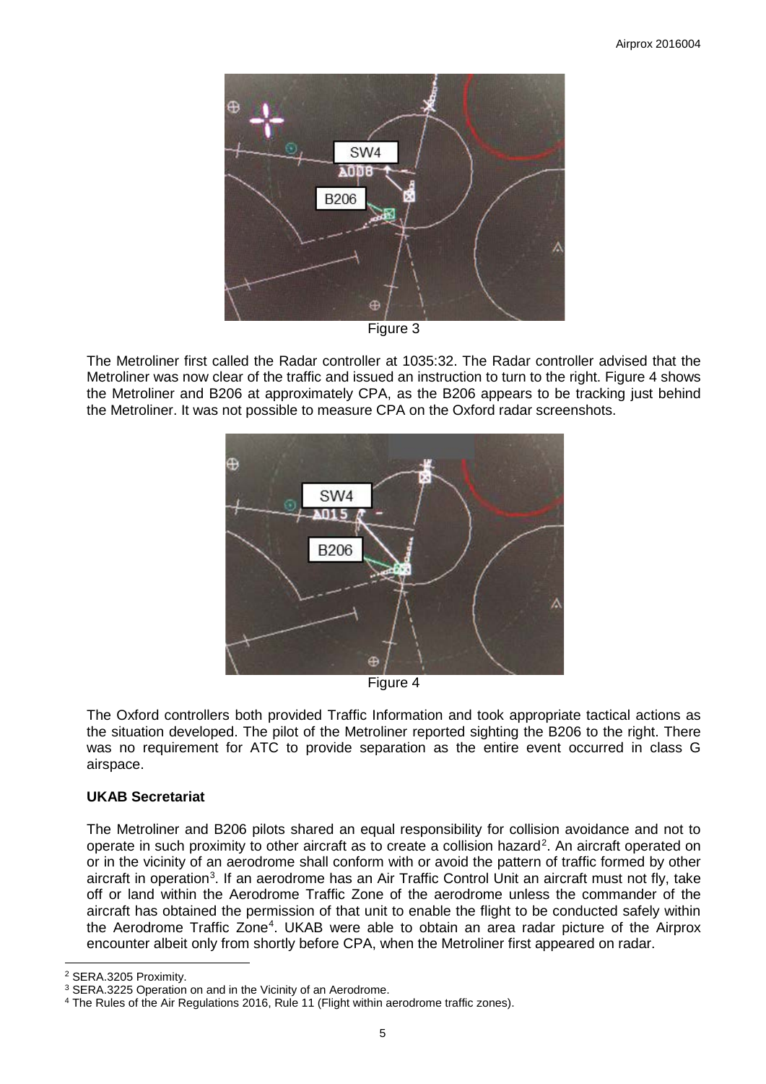

Figure 3

The Metroliner first called the Radar controller at 1035:32. The Radar controller advised that the Metroliner was now clear of the traffic and issued an instruction to turn to the right. Figure 4 shows the Metroliner and B206 at approximately CPA, as the B206 appears to be tracking just behind the Metroliner. It was not possible to measure CPA on the Oxford radar screenshots.



Figure 4

The Oxford controllers both provided Traffic Information and took appropriate tactical actions as the situation developed. The pilot of the Metroliner reported sighting the B206 to the right. There was no requirement for ATC to provide separation as the entire event occurred in class G airspace.

## **UKAB Secretariat**

The Metroliner and B206 pilots shared an equal responsibility for collision avoidance and not to operate in such proximity to other aircraft as to create a collision hazard<sup>[2](#page-4-0)</sup>. An aircraft operated on or in the vicinity of an aerodrome shall conform with or avoid the pattern of traffic formed by other aircraft in operation<sup>[3](#page-4-1)</sup>. If an aerodrome has an Air Traffic Control Unit an aircraft must not fly, take off or land within the Aerodrome Traffic Zone of the aerodrome unless the commander of the aircraft has obtained the permission of that unit to enable the flight to be conducted safely within the Aerodrome Traffic Zone<sup>[4](#page-4-2)</sup>. UKAB were able to obtain an area radar picture of the Airprox encounter albeit only from shortly before CPA, when the Metroliner first appeared on radar.

 $\overline{\phantom{a}}$ <sup>2</sup> SERA.3205 Proximity.

<span id="page-4-1"></span><span id="page-4-0"></span><sup>3</sup> SERA.3225 Operation on and in the Vicinity of an Aerodrome.

<span id="page-4-2"></span><sup>4</sup> The Rules of the Air Regulations 2016, Rule 11 (Flight within aerodrome traffic zones).